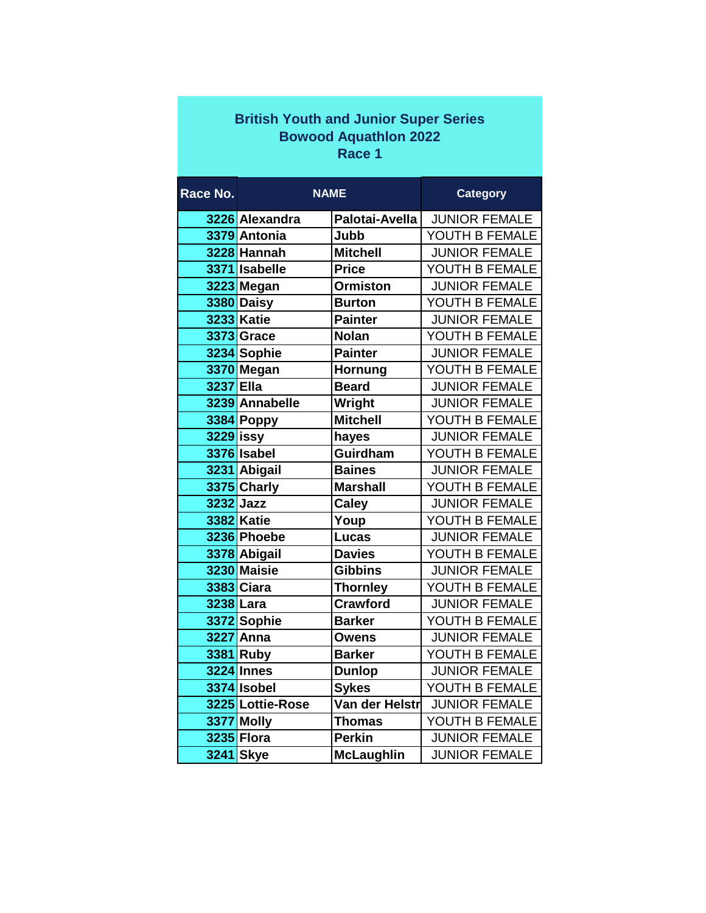| <b>British Youth and Junior Super Series</b> |                   |                   |                      |  |  |  |
|----------------------------------------------|-------------------|-------------------|----------------------|--|--|--|
| <b>Bowood Aquathlon 2022</b>                 |                   |                   |                      |  |  |  |
| Race 1                                       |                   |                   |                      |  |  |  |
|                                              |                   |                   |                      |  |  |  |
| Race No.                                     | <b>NAME</b>       |                   | <b>Category</b>      |  |  |  |
|                                              | 3226 Alexandra    | Palotai-Avella    | <b>JUNIOR FEMALE</b> |  |  |  |
|                                              | 3379 Antonia      | Jubb              | YOUTH B FEMALE       |  |  |  |
|                                              | 3228 Hannah       | <b>Mitchell</b>   | <b>JUNIOR FEMALE</b> |  |  |  |
|                                              | 3371 Isabelle     | <b>Price</b>      | YOUTH B FEMALE       |  |  |  |
|                                              | 3223 Megan        | <b>Ormiston</b>   | <b>JUNIOR FEMALE</b> |  |  |  |
|                                              | 3380 Daisy        | <b>Burton</b>     | YOUTH B FEMALE       |  |  |  |
|                                              | <b>3233 Katie</b> | <b>Painter</b>    | <b>JUNIOR FEMALE</b> |  |  |  |
|                                              | <b>3373 Grace</b> | <b>Nolan</b>      | YOUTH B FEMALE       |  |  |  |
|                                              | 3234 Sophie       | <b>Painter</b>    | <b>JUNIOR FEMALE</b> |  |  |  |
|                                              | 3370 Megan        | Hornung           | YOUTH B FEMALE       |  |  |  |
| 3237 Ella                                    |                   | <b>Beard</b>      | <b>JUNIOR FEMALE</b> |  |  |  |
|                                              | 3239 Annabelle    | Wright            | <b>JUNIOR FEMALE</b> |  |  |  |
|                                              | 3384 Poppy        | <b>Mitchell</b>   | YOUTH B FEMALE       |  |  |  |
| $3229$ issy                                  |                   | hayes             | <b>JUNIOR FEMALE</b> |  |  |  |
|                                              | 3376 Isabel       | Guirdham          | YOUTH B FEMALE       |  |  |  |
|                                              | 3231 Abigail      | <b>Baines</b>     | <b>JUNIOR FEMALE</b> |  |  |  |
|                                              | 3375 Charly       | <b>Marshall</b>   | YOUTH B FEMALE       |  |  |  |
|                                              | 3232 Jazz         | <b>Caley</b>      | <b>JUNIOR FEMALE</b> |  |  |  |
|                                              | <b>3382 Katie</b> | Youp              | YOUTH B FEMALE       |  |  |  |
|                                              | 3236 Phoebe       | <b>Lucas</b>      | <b>JUNIOR FEMALE</b> |  |  |  |
|                                              | 3378 Abigail      | <b>Davies</b>     | YOUTH B FEMALE       |  |  |  |
|                                              | 3230 Maisie       | <b>Gibbins</b>    | <b>JUNIOR FEMALE</b> |  |  |  |
|                                              | <b>3383 Ciara</b> | <b>Thornley</b>   | YOUTH B FEMALE       |  |  |  |
|                                              | 3238 Lara         | <b>Crawford</b>   | <b>JUNIOR FEMALE</b> |  |  |  |
|                                              | 3372 Sophie       | <b>Barker</b>     | YOUTH B FEMALE       |  |  |  |
|                                              | 3227 Anna         | <b>Owens</b>      | <b>JUNIOR FEMALE</b> |  |  |  |
|                                              | 3381 Ruby         | <b>Barker</b>     | YOUTH B FEMALE       |  |  |  |
|                                              | <b>3224 Innes</b> | <b>Dunlop</b>     | <b>JUNIOR FEMALE</b> |  |  |  |
|                                              | 3374 Isobel       | <b>Sykes</b>      | YOUTH B FEMALE       |  |  |  |
|                                              | 3225 Lottie-Rose  | Van der Helstr    | <b>JUNIOR FEMALE</b> |  |  |  |
|                                              | 3377 Molly        | <b>Thomas</b>     | YOUTH B FEMALE       |  |  |  |
|                                              | 3235 Flora        | <b>Perkin</b>     | <b>JUNIOR FEMALE</b> |  |  |  |
|                                              | 3241 Skye         | <b>McLaughlin</b> | <b>JUNIOR FEMALE</b> |  |  |  |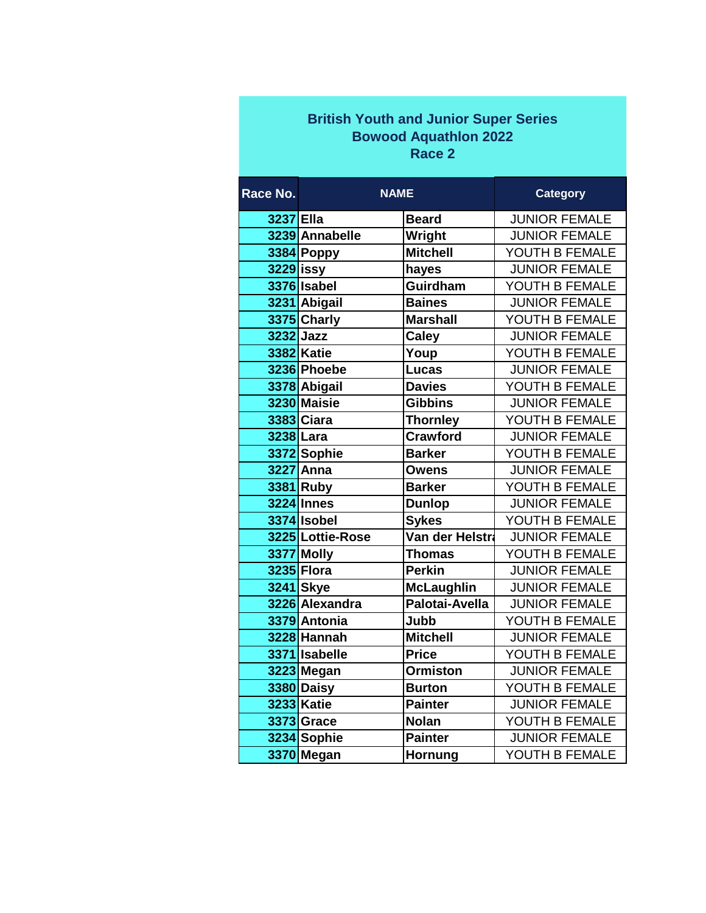| <b>British Youth and Junior Super Series</b> |  |  |  |  |  |  |
|----------------------------------------------|--|--|--|--|--|--|
| <b>Bowood Aquathlon 2022</b>                 |  |  |  |  |  |  |
| Race 2                                       |  |  |  |  |  |  |

| Race No.    | <b>NAME</b>       |                   | <b>Category</b>      |
|-------------|-------------------|-------------------|----------------------|
| 3237 Ella   |                   | <b>Beard</b>      | <b>JUNIOR FEMALE</b> |
|             | 3239 Annabelle    | Wright            | <b>JUNIOR FEMALE</b> |
|             | 3384 Poppy        | <b>Mitchell</b>   | YOUTH B FEMALE       |
| $3229$ issy |                   | hayes             | <b>JUNIOR FEMALE</b> |
|             | 3376 Isabel       | Guirdham          | YOUTH B FEMALE       |
|             | 3231 Abigail      | <b>Baines</b>     | <b>JUNIOR FEMALE</b> |
|             | 3375 Charly       | <b>Marshall</b>   | YOUTH B FEMALE       |
| 3232 Jazz   |                   | <b>Caley</b>      | <b>JUNIOR FEMALE</b> |
|             | <b>3382 Katie</b> | Youp              | YOUTH B FEMALE       |
|             | 3236 Phoebe       | <b>Lucas</b>      | <b>JUNIOR FEMALE</b> |
|             | 3378 Abigail      | <b>Davies</b>     | YOUTH B FEMALE       |
|             | 3230 Maisie       | <b>Gibbins</b>    | <b>JUNIOR FEMALE</b> |
|             | 3383 Ciara        | <b>Thornley</b>   | YOUTH B FEMALE       |
| 3238 Lara   |                   | <b>Crawford</b>   | <b>JUNIOR FEMALE</b> |
|             | 3372 Sophie       | <b>Barker</b>     | YOUTH B FEMALE       |
|             | 3227 Anna         | <b>Owens</b>      | <b>JUNIOR FEMALE</b> |
|             | 3381 Ruby         | <b>Barker</b>     | YOUTH B FEMALE       |
|             | <b>3224 Innes</b> | <b>Dunlop</b>     | <b>JUNIOR FEMALE</b> |
|             | 3374 Isobel       | <b>Sykes</b>      | YOUTH B FEMALE       |
|             | 3225 Lottie-Rose  | Van der Helstra   | <b>JUNIOR FEMALE</b> |
|             | 3377 Molly        | <b>Thomas</b>     | YOUTH B FEMALE       |
|             | 3235 Flora        | <b>Perkin</b>     | <b>JUNIOR FEMALE</b> |
|             | 3241 Skye         | <b>McLaughlin</b> | <b>JUNIOR FEMALE</b> |
|             | 3226 Alexandra    | Palotai-Avella    | <b>JUNIOR FEMALE</b> |
|             | 3379 Antonia      | Jubb              | YOUTH B FEMALE       |
|             | 3228 Hannah       | <b>Mitchell</b>   | <b>JUNIOR FEMALE</b> |
|             | 3371 Isabelle     | <b>Price</b>      | YOUTH B FEMALE       |
|             | 3223 Megan        | <b>Ormiston</b>   | <b>JUNIOR FEMALE</b> |
|             | 3380 Daisy        | <b>Burton</b>     | YOUTH B FEMALE       |
|             | <b>3233 Katie</b> | <b>Painter</b>    | <b>JUNIOR FEMALE</b> |
|             | 3373 Grace        | <b>Nolan</b>      | YOUTH B FEMALE       |
|             | 3234 Sophie       | <b>Painter</b>    | <b>JUNIOR FEMALE</b> |
|             | 3370 Megan        | Hornung           | YOUTH B FEMALE       |